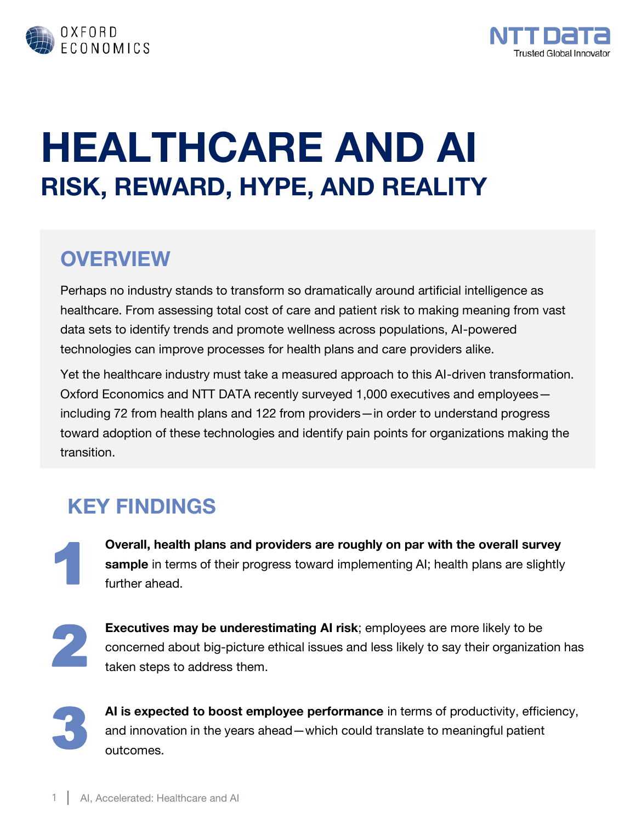



# **HEALTHCARE AND AI RISK, REWARD, HYPE, AND REALITY**

#### **OVERVIEW**

Perhaps no industry stands to transform so dramatically around artificial intelligence as healthcare. From assessing total cost of care and patient risk to making meaning from vast data sets to identify trends and promote wellness across populations, AI-powered technologies can improve processes for health plans and care providers alike.

Yet the healthcare industry must take a measured approach to this AI-driven transformation. Oxford Economics and NTT DATA recently surveyed 1,000 executives and employees including 72 from health plans and 122 from providers—in order to understand progress toward adoption of these technologies and identify pain points for organizations making the transition.

#### **KEY FINDINGS**

1 **Overall, health plans and providers are roughly on par with the overall survey sample** in terms of their progress toward implementing AI; health plans are slightly further ahead.

2

**Executives may be underestimating AI risk**; employees are more likely to be concerned about big-picture ethical issues and less likely to say their organization has taken steps to address them.



**AI is expected to boost employee performance** in terms of productivity, efficiency, and innovation in the years ahead—which could translate to meaningful patient outcomes.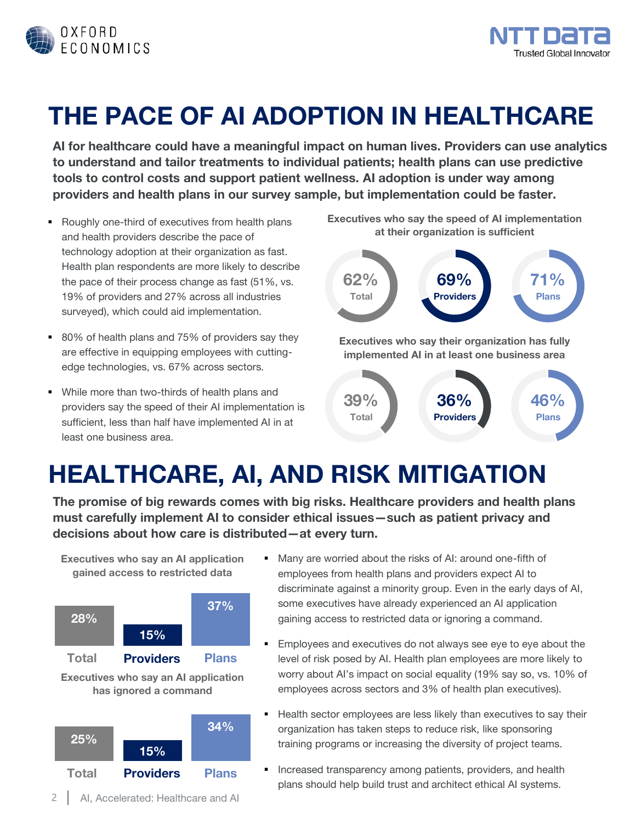



## **THE PACE OF AI ADOPTION IN HEALTHCARE**

**AI for healthcare could have a meaningful impact on human lives. Providers can use analytics to understand and tailor treatments to individual patients; health plans can use predictive tools to control costs and support patient wellness. AI adoption is under way among providers and health plans in our survey sample, but implementation could be faster.**

- Roughly one-third of executives from health plans and health providers describe the pace of technology adoption at their organization as fast. Health plan respondents are more likely to describe the pace of their process change as fast (51%, vs. 19% of providers and 27% across all industries surveyed), which could aid implementation.
- 80% of health plans and 75% of providers say they are effective in equipping employees with cuttingedge technologies, vs. 67% across sectors.
- While more than two-thirds of health plans and providers say the speed of their AI implementation is sufficient, less than half have implemented AI in at least one business area.

**Executives who say the speed of AI implementation at their organization is sufficient** 



### **HEALTHCARE, AI, AND RISK MITIGATION**

**The promise of big rewards comes with big risks. Healthcare providers and health plans must carefully implement AI to consider ethical issues—such as patient privacy and decisions about how care is distributed—at every turn.** 

**Executives who say an AI application gained access to restricted data** 







- Many are worried about the risks of AI: around one-fifth of employees from health plans and providers expect AI to discriminate against a minority group. Even in the early days of AI, some executives have already experienced an AI application gaining access to restricted data or ignoring a command.
- Employees and executives do not always see eye to eye about the level of risk posed by AI. Health plan employees are more likely to worry about AI's impact on social equality (19% say so, vs. 10% of employees across sectors and 3% of health plan executives).
- Health sector employees are less likely than executives to say their organization has taken steps to reduce risk, like sponsoring training programs or increasing the diversity of project teams.
- **EXP** Increased transparency among patients, providers, and health plans should help build trust and architect ethical AI systems.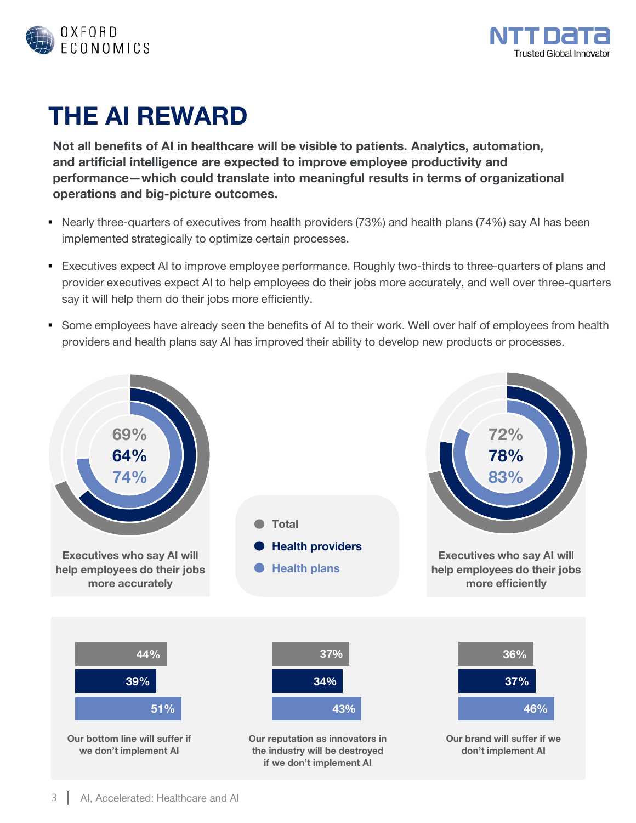



### **THE AI REWARD**

**Not all benefits of AI in healthcare will be visible to patients. Analytics, automation, and artificial intelligence are expected to improve employee productivity and performance—which could translate into meaningful results in terms of organizational operations and big-picture outcomes.** 

- Nearly three-quarters of executives from health providers (73%) and health plans (74%) say AI has been implemented strategically to optimize certain processes.
- Executives expect AI to improve employee performance. Roughly two-thirds to three-quarters of plans and provider executives expect AI to help employees do their jobs more accurately, and well over three-quarters say it will help them do their jobs more efficiently.
- Some employees have already seen the benefits of AI to their work. Well over half of employees from health providers and health plans say AI has improved their ability to develop new products or processes.